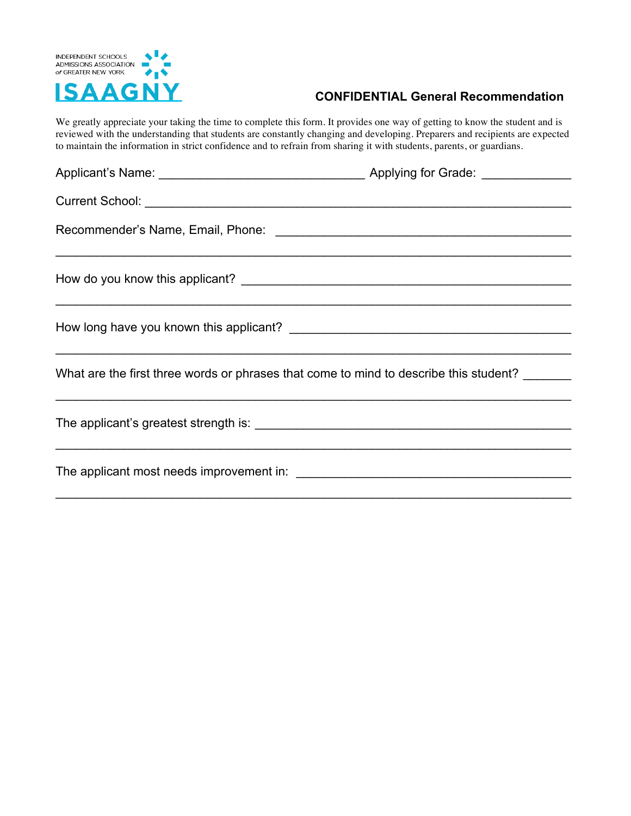

## **CONFIDENTIAL General Recommendation**

We greatly appreciate your taking the time to complete this form. It provides one way of getting to know the student and is reviewed with the understanding that students are constantly changing and developing. Preparers and recipients are expected to maintain the information in strict confidence and to refrain from sharing it with students, parents, or guardians.

| What are the first three words or phrases that come to mind to describe this student?<br><u> 1989 - Johann Stoff, deutscher Stoff, der Stoff, der Stoff, der Stoff, der Stoff, der Stoff, der Stoff, der S</u> |  |
|----------------------------------------------------------------------------------------------------------------------------------------------------------------------------------------------------------------|--|
|                                                                                                                                                                                                                |  |
|                                                                                                                                                                                                                |  |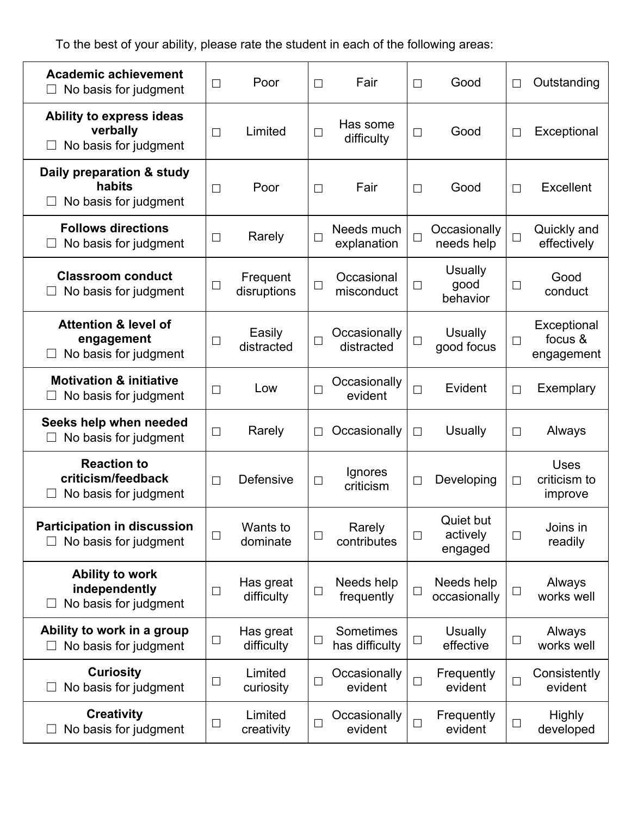To the best of your ability, please rate the student in each of the following areas:

| <b>Academic achievement</b><br>No basis for judgment                   | $\Box$ | Poor                    | $\Box$ | Fair                        | $\Box$ | Good                               | $\Box$ | Outstanding                            |
|------------------------------------------------------------------------|--------|-------------------------|--------|-----------------------------|--------|------------------------------------|--------|----------------------------------------|
| Ability to express ideas<br>verbally<br>No basis for judgment          | $\Box$ | Limited                 | $\Box$ | Has some<br>difficulty      | $\Box$ | Good                               | $\Box$ | Exceptional                            |
| Daily preparation & study<br>habits<br>No basis for judgment           | $\Box$ | Poor                    | $\Box$ | Fair                        | $\Box$ | Good                               | $\Box$ | <b>Excellent</b>                       |
| <b>Follows directions</b><br>No basis for judgment                     | $\Box$ | Rarely                  | $\Box$ | Needs much<br>explanation   | $\Box$ | Occasionally<br>needs help         | $\Box$ | Quickly and<br>effectively             |
| <b>Classroom conduct</b><br>No basis for judgment                      | $\Box$ | Frequent<br>disruptions | $\Box$ | Occasional<br>misconduct    | $\Box$ | <b>Usually</b><br>good<br>behavior | $\Box$ | Good<br>conduct                        |
| <b>Attention &amp; level of</b><br>engagement<br>No basis for judgment | $\Box$ | Easily<br>distracted    | $\Box$ | Occasionally<br>distracted  | $\Box$ | <b>Usually</b><br>good focus       | $\Box$ | Exceptional<br>focus &<br>engagement   |
| <b>Motivation &amp; initiative</b><br>No basis for judgment            | $\Box$ | Low                     | $\Box$ | Occasionally<br>evident     | $\Box$ | Evident                            | $\Box$ | Exemplary                              |
| Seeks help when needed<br>No basis for judgment                        | $\Box$ | Rarely                  |        | Occasionally                | $\Box$ | Usually                            | $\Box$ | Always                                 |
| <b>Reaction to</b><br>criticism/feedback<br>No basis for judgment      | $\Box$ | Defensive               | $\Box$ | Ignores<br>criticism        | $\Box$ | Developing                         | $\Box$ | <b>Uses</b><br>criticism to<br>improve |
| <b>Participation in discussion</b><br>No basis for judgment            | $\Box$ | Wants to<br>dominate    | $\Box$ | Rarely<br>contributes       | $\Box$ | Quiet but<br>actively<br>engaged   | $\Box$ | Joins in<br>readily                    |
| <b>Ability to work</b><br>independently<br>No basis for judgment       | $\Box$ | Has great<br>difficulty | $\Box$ | Needs help<br>frequently    | $\Box$ | Needs help<br>occasionally         | $\Box$ | Always<br>works well                   |
| Ability to work in a group<br>No basis for judgment                    | $\Box$ | Has great<br>difficulty | $\Box$ | Sometimes<br>has difficulty | $\Box$ | <b>Usually</b><br>effective        | $\Box$ | Always<br>works well                   |
| <b>Curiosity</b><br>No basis for judgment                              | $\Box$ | Limited<br>curiosity    | $\Box$ | Occasionally<br>evident     | $\Box$ | Frequently<br>evident              | $\Box$ | Consistently<br>evident                |
| <b>Creativity</b><br>No basis for judgment                             | $\Box$ | Limited<br>creativity   | $\Box$ | Occasionally<br>evident     | $\Box$ | Frequently<br>evident              | $\Box$ | <b>Highly</b><br>developed             |